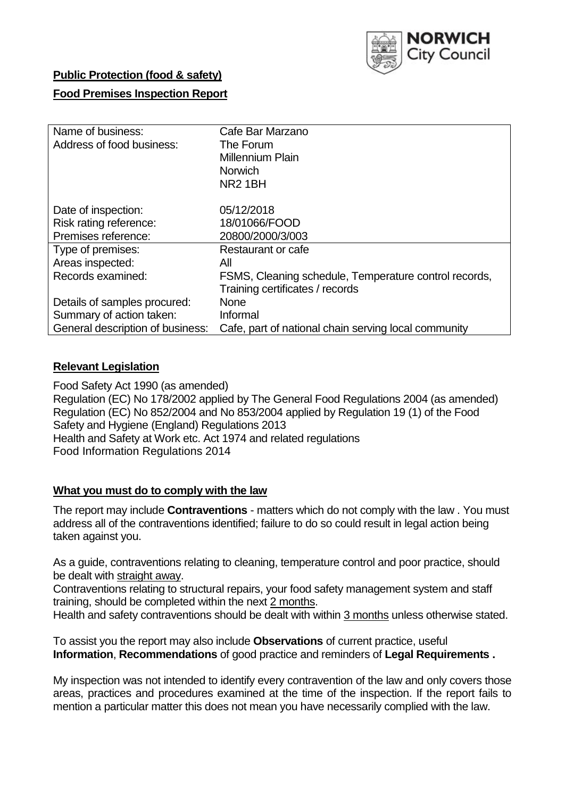

### **Public Protection (food & safety)**

### **Food Premises Inspection Report**

| Name of business:                | Cafe Bar Marzano                                      |
|----------------------------------|-------------------------------------------------------|
| Address of food business:        | The Forum                                             |
|                                  | <b>Millennium Plain</b>                               |
|                                  | <b>Norwich</b>                                        |
|                                  | NR <sub>2</sub> 1BH                                   |
|                                  |                                                       |
| Date of inspection:              | 05/12/2018                                            |
| Risk rating reference:           | 18/01066/FOOD                                         |
| Premises reference:              | 20800/2000/3/003                                      |
| Type of premises:                | Restaurant or cafe                                    |
| Areas inspected:                 | All                                                   |
| Records examined:                | FSMS, Cleaning schedule, Temperature control records, |
|                                  | Training certificates / records                       |
| Details of samples procured:     | <b>None</b>                                           |
| Summary of action taken:         | Informal                                              |
| General description of business: | Cafe, part of national chain serving local community  |

### **Relevant Legislation**

Food Safety Act 1990 (as amended) Regulation (EC) No 178/2002 applied by The General Food Regulations 2004 (as amended) Regulation (EC) No 852/2004 and No 853/2004 applied by Regulation 19 (1) of the Food Safety and Hygiene (England) Regulations 2013 Health and Safety at Work etc. Act 1974 and related regulations Food Information Regulations 2014

### **What you must do to comply with the law**

The report may include **Contraventions** - matters which do not comply with the law . You must address all of the contraventions identified; failure to do so could result in legal action being taken against you.

As a guide, contraventions relating to cleaning, temperature control and poor practice, should be dealt with straight away.

Contraventions relating to structural repairs, your food safety management system and staff training, should be completed within the next 2 months.

Health and safety contraventions should be dealt with within 3 months unless otherwise stated.

To assist you the report may also include **Observations** of current practice, useful **Information**, **Recommendations** of good practice and reminders of **Legal Requirements .**

My inspection was not intended to identify every contravention of the law and only covers those areas, practices and procedures examined at the time of the inspection. If the report fails to mention a particular matter this does not mean you have necessarily complied with the law.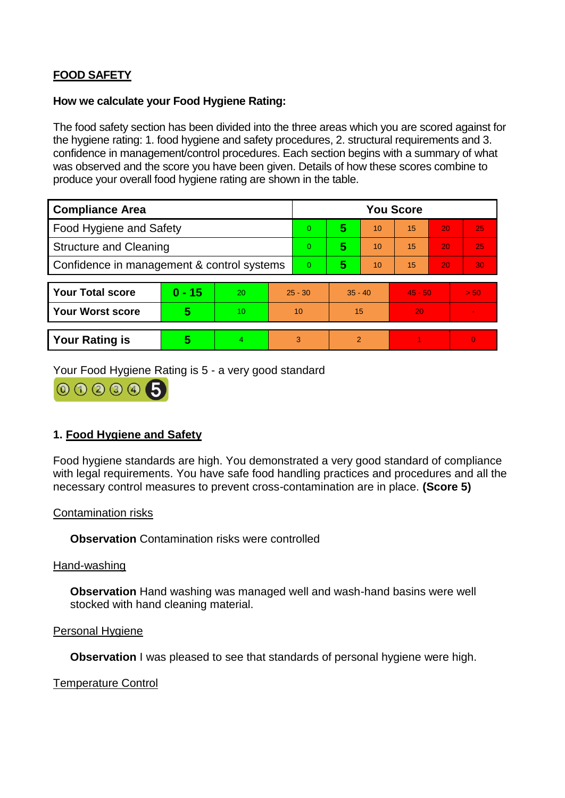# **FOOD SAFETY**

#### **How we calculate your Food Hygiene Rating:**

The food safety section has been divided into the three areas which you are scored against for the hygiene rating: 1. food hygiene and safety procedures, 2. structural requirements and 3. confidence in management/control procedures. Each section begins with a summary of what was observed and the score you have been given. Details of how these scores combine to produce your overall food hygiene rating are shown in the table.

| <b>Compliance Area</b>                     |          |                  |           | <b>You Score</b> |                |    |           |    |                |  |  |
|--------------------------------------------|----------|------------------|-----------|------------------|----------------|----|-----------|----|----------------|--|--|
| Food Hygiene and Safety                    |          |                  |           | 0                | 5              | 10 | 15        | 20 | 25             |  |  |
| <b>Structure and Cleaning</b>              |          |                  | $\Omega$  | 5                | 10             | 15 | 20        | 25 |                |  |  |
| Confidence in management & control systems |          |                  | 0         | 5                | 10             | 15 | 20        | 30 |                |  |  |
|                                            |          |                  |           |                  |                |    |           |    |                |  |  |
| <b>Your Total score</b>                    | $0 - 15$ | 20               | $25 - 30$ |                  | $35 - 40$      |    | $45 - 50$ |    | > 50           |  |  |
| <b>Your Worst score</b>                    | 5        | 10 <sup>10</sup> | 10        |                  | 15             |    | 20        |    | $\blacksquare$ |  |  |
|                                            |          |                  |           |                  |                |    |           |    |                |  |  |
| <b>Your Rating is</b>                      | 5        | 4                | 3         |                  | $\overline{2}$ |    |           |    | $\overline{0}$ |  |  |

Your Food Hygiene Rating is 5 - a very good standard

000005

## **1. Food Hygiene and Safety**

Food hygiene standards are high. You demonstrated a very good standard of compliance with legal requirements. You have safe food handling practices and procedures and all the necessary control measures to prevent cross-contamination are in place. **(Score 5)**

### Contamination risks

**Observation** Contamination risks were controlled

Hand-washing

**Observation** Hand washing was managed well and wash-hand basins were well stocked with hand cleaning material.

#### Personal Hygiene

**Observation** I was pleased to see that standards of personal hygiene were high.

#### Temperature Control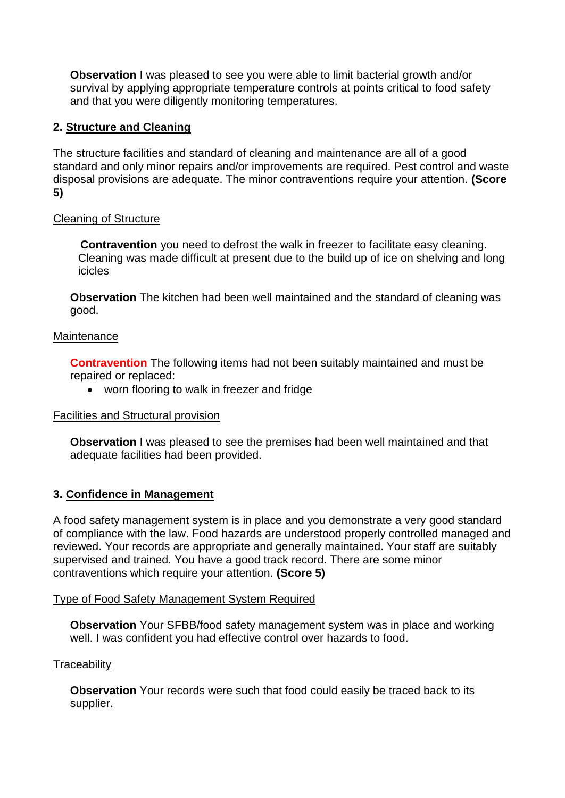**Observation** I was pleased to see you were able to limit bacterial growth and/or survival by applying appropriate temperature controls at points critical to food safety and that you were diligently monitoring temperatures.

# **2. Structure and Cleaning**

The structure facilities and standard of cleaning and maintenance are all of a good standard and only minor repairs and/or improvements are required. Pest control and waste disposal provisions are adequate. The minor contraventions require your attention. **(Score 5)**

## Cleaning of Structure

 **Contravention** you need to defrost the walk in freezer to facilitate easy cleaning. Cleaning was made difficult at present due to the build up of ice on shelving and long icicles

**Observation** The kitchen had been well maintained and the standard of cleaning was good.

### **Maintenance**

**Contravention** The following items had not been suitably maintained and must be repaired or replaced:

worn flooring to walk in freezer and fridge

### Facilities and Structural provision

**Observation** I was pleased to see the premises had been well maintained and that adequate facilities had been provided.

## **3. Confidence in Management**

A food safety management system is in place and you demonstrate a very good standard of compliance with the law. Food hazards are understood properly controlled managed and reviewed. Your records are appropriate and generally maintained. Your staff are suitably supervised and trained. You have a good track record. There are some minor contraventions which require your attention. **(Score 5)**

### Type of Food Safety Management System Required

**Observation** Your SFBB/food safety management system was in place and working well. I was confident you had effective control over hazards to food.

### **Traceability**

**Observation** Your records were such that food could easily be traced back to its supplier.